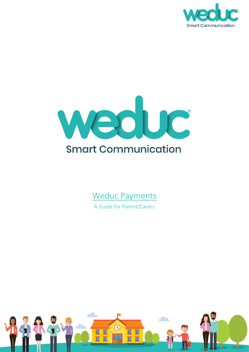



# Weduc Payments

A Guide for Parent/Carers

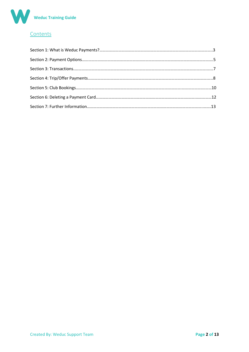

## Contents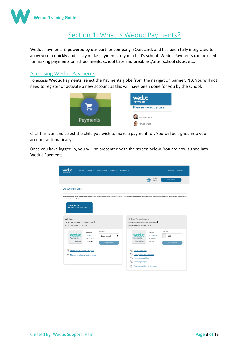

# Section 1: What is Weduc Payments?

Weduc Payments is powered by our partner company, sQuidcard, and has been fully integrated to allow you to quickly and easily make payments to your child's school. Weduc Payments can be used for making payments on school meals, school trips and breakfast/after school clubs, etc.

#### Accessing Weduc Payments

To access Weduc Payments, select the Payments globe from the navigation banner. **NB:** You will not need to register or activate a new account as this will have been done for you by the school.



Click this icon and select the child you wish to make a payment for. You will be signed into your account automatically**.**

Once you have logged in, you will be presented with the screen below. You are now signed into Weduc Payments.

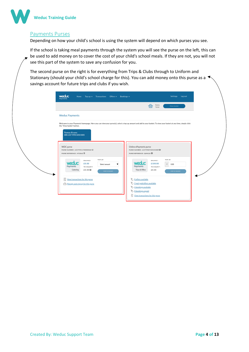

### Payments Purses

Depending on how your child's school is using the system will depend on which purses you see.

If the school is taking meal payments through the system you will see the purse on the left, this can be used to add money on to cover the cost of your child's school meals. If they are not, you will not see this part of the system to save any confusion for you.

The second purse on the right is for everything from Trips & Clubs through to Uniform and Stationary (should your child's school charge for this). You can add money onto this purse as a savings account for future trips and clubs if you wish.

|                                                                |                                                         |                                                |                                                                                                                                                                  | Items<br>侖<br>Total:                        | View banket                          |  |
|----------------------------------------------------------------|---------------------------------------------------------|------------------------------------------------|------------------------------------------------------------------------------------------------------------------------------------------------------------------|---------------------------------------------|--------------------------------------|--|
| <b>Weduc Payments</b>                                          |                                                         |                                                |                                                                                                                                                                  |                                             |                                      |  |
| the 'View basket' button.                                      |                                                         |                                                | Welcome to your Payments homepage. Here you can view your purse(s), select a top up amount and add to your basket. To view your basket at any time, simply click |                                             |                                      |  |
| <b>Tomos Evans</b><br>SRN 6337 9990 0450 0005                  |                                                         |                                                |                                                                                                                                                                  |                                             |                                      |  |
| WDC purse                                                      |                                                         |                                                | Online ePayments purse                                                                                                                                           |                                             |                                      |  |
| PURSE NUMBER : 633799011700000060<br>PURSE REPERENCE: HT3D6Z C |                                                         |                                                | EURSE NUMBER : 633799007205343880<br>PURSE REFERENCE : QXNG2L CD                                                                                                 |                                             |                                      |  |
| weduc<br>Payments<br>Catering                                  | TOP UP:<br>BALANCE:<br>£0.00<br>TO COLLECT:<br>£0.00 CD | $\mathbf{v}$<br>Select amount<br>Add to basket | weauc<br>Payments<br>Trips & Offers                                                                                                                              | BALANCE:<br>£100.00<br>TO COLLECT:<br>£0.00 | TOP UP:<br>$E$ 0.00<br>Add to basket |  |
| $\frac{1}{2}$<br>View transactions for this purse              |                                                         |                                                | 8 offers available<br>2 part paid offers available                                                                                                               |                                             |                                      |  |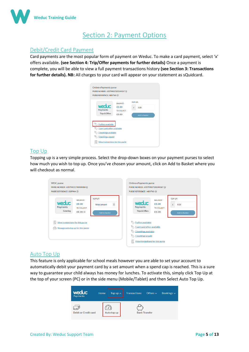

## Section 2: Payment Options

## Debit/Credit Card Payment

Card payments are the most popular form of payment on Weduc. To make a card payment, select 'x' offers available. **(see Section 4: Trip/Offer payments for further details)** Once a payment is complete, you will be able to view a full payment transactions history **(see Section 3: Transactions for further details). NB:** All charges to your card will appear on your statement as sQuidcard.



#### Top Up

Topping up is a very simple process. Select the drop-down boxes on your payment purses to select how much you wish to top up. Once you've chosen your amount, click on Add to Basket where you will checkout as normal.

| <b>WDC</b> purse                                                           | Online ePayments purse                                                                                                                   |
|----------------------------------------------------------------------------|------------------------------------------------------------------------------------------------------------------------------------------|
| PURSE NUMBER: 633799011700000086 (i)                                       | PURSE NUMBER: 633799007205349267 (i)                                                                                                     |
| PURSE REFERENCE: 83FPMA (i)                                                | PURSE REFERENCE: MBVTWJ (i)                                                                                                              |
| TOP UP:                                                                    | TOP UP:                                                                                                                                  |
| <b>BALANCE:</b>                                                            | <b>BALANCE:</b>                                                                                                                          |
| <b>weduc</b>                                                               | <b>weduc</b>                                                                                                                             |
| $\checkmark$                                                               | £0.00                                                                                                                                    |
| £0.00                                                                      | £                                                                                                                                        |
| Select amount                                                              | 0.00                                                                                                                                     |
| Payments                                                                   | Payments                                                                                                                                 |
| TO COLLECT:                                                                | TO COLLECT:                                                                                                                              |
| Catering                                                                   | Trips & Offers                                                                                                                           |
| £0.00 to                                                                   | £0.00                                                                                                                                    |
| Add to basket                                                              | Add to basket                                                                                                                            |
| Ŀ<br>View transactions for this purse<br>Manage auto top up for this purse | 9 offers available<br>1 part paid offers available<br>2 bookings available<br>1 bookings unpaid<br>Ě<br>View transactions for this purse |

## Auto Top Up

This feature is only applicable for school meals however you are able to set your account to automatically debit your payment card by a set amount when a spend cap is reached. This is a sure way to guarantee your child always has money for lunches. To activate this, simply click Top Up at the top of your screen (PC) or in the side menu (Mobile/Tablet) and then Select Auto Top Up.

| weduc<br>Payments                       | Home | Top up $\sim$ | <b>Transactions</b> | Offers $\sim$        | Bookings $\sim$ |
|-----------------------------------------|------|---------------|---------------------|----------------------|-----------------|
| $\Box =$<br><b>Debit or Credit card</b> |      | Auto top up   |                     | <b>Bank Transfer</b> |                 |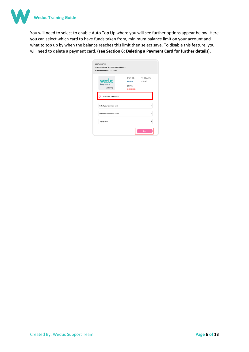

You will need to select to enable Auto Top Up where you will see further options appear below. Here you can select which card to have funds taken from, minimum balance limit on your account and what to top up by when the balance reaches this limit then select save. To disable this feature, you will need to delete a payment card. **(see Section 6: Deleting a Payment Card for further details).**

| <b>WDC</b> purse<br>PURSE NUMBER : 633799011700000086<br><b>PURSE REFERENCE: 83FPMA</b> |                                                               |                      |
|-----------------------------------------------------------------------------------------|---------------------------------------------------------------|----------------------|
| weduc<br>Payments<br>Catering                                                           | <b>BALANCE:</b><br>£0.00<br><b>STATUS:</b><br><b>DISABLED</b> | TO COLLECT:<br>£0.00 |
| AUTO TOP UP ENABLED                                                                     |                                                               |                      |
| Select your payment card                                                                |                                                               | ÷                    |
| When balance drops below                                                                |                                                               | ÷                    |
| Top up with                                                                             |                                                               | ٠                    |
|                                                                                         |                                                               | Save                 |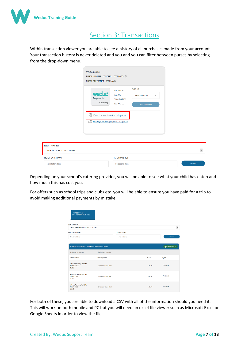

## Section 3: Transactions

Within transaction viewer you are able to see a history of all purchases made from your account. Your transaction history is never deleted and you and you can filter between purses by selecting from the drop-down menu.

|                                                    | <b>WDC</b> purse<br>PURSE NUMBER: 633799011700000086 1<br>PURSE REFERENCE: 83FPMA 1                                                               |                                                     |                                                           |              |
|----------------------------------------------------|---------------------------------------------------------------------------------------------------------------------------------------------------|-----------------------------------------------------|-----------------------------------------------------------|--------------|
|                                                    | <b>weduc</b><br>Payments<br>Catering<br>Ŀ<br><b>View transactions for this purse</b><br>$\widehat{(\Omega)}$<br>Manage auto top up for this purse | <b>BALANCE:</b><br>£0.00<br>TO COLLECT:<br>£0.00 to | TOP UP:<br>Select amount<br>$\checkmark$<br>Add to basket |              |
| <b>SELECT A PURSE:</b><br>WDC (633799011700000086) |                                                                                                                                                   |                                                     |                                                           | $\checkmark$ |
| <b>FILTER DATE FROM:</b>                           |                                                                                                                                                   | <b>FILTER DATE TO:</b>                              |                                                           |              |
| Select start date                                  |                                                                                                                                                   | Select end date                                     |                                                           | Search       |

Depending on your school's catering provider, you will be able to see what your child has eaten and how much this has cost you.

For offers such as school trips and clubs etc. you will be able to ensure you have paid for a trip to avoid making additional payments by mistake.

| <b>Tomos Evans</b><br>SRN 6337 9990 0450 0005           |                                |                        |          |                       |
|---------------------------------------------------------|--------------------------------|------------------------|----------|-----------------------|
| <b>SELECT A PURSE:</b>                                  |                                |                        |          |                       |
| Online ePayments (633799007205343880)                   |                                |                        |          | $\checkmark$          |
| <b>FILTER DATE FROM:</b>                                |                                | <b>FILTER DATE TO:</b> |          |                       |
| Select start date                                       |                                | Select end date        |          | Search                |
| Viewing transactions for Online ePayments purse         |                                |                        |          | <b>X</b> Download CSV |
| <b>Balance: £100.00</b>                                 | To Collect: £0.00              |                        |          |                       |
| <b>Transaction</b>                                      | <b>Description</b>             |                        | $E+/-$   | Type                  |
| <b>Weduc Academy Test Site</b><br>Mar 10, 2020<br>10:53 | <b>Breakfast Club - Site 1</b> |                        | $+60.00$ | Purchase              |
| <b>Weduc Academy Test Site</b><br>Mar 10, 2020<br>10:50 | <b>Breakfast Club - Site 1</b> |                        | $+60.00$ | Purchase              |
| Weduc Academy Test Site<br>Mar 4, 2020<br>16:13         | <b>Breakfast Club - Site 1</b> |                        | $+60.00$ | Purchase              |

For both of these, you are able to download a CSV with all of the information should you need it. This will work on both mobile and PC but you will need an excel file viewer such as Microsoft Excel or Google Sheets in order to view the file.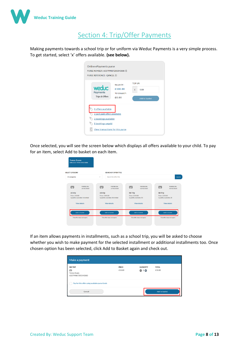

# Section 4: Trip/Offer Payments

Making payments towards a school trip or for uniform via Weduc Payments is a very simple process. To get started, select 'x' offers available. **(see below).**

| Online ePayments purse<br>PURSE NUMBER: 633799007205343880 (i)<br>PURSE REFERENCE: QXNG2L 1 |                                                    |                                       |
|---------------------------------------------------------------------------------------------|----------------------------------------------------|---------------------------------------|
| weduc<br><b>Payments</b><br>Trips & Offers                                                  | <b>BALANCE:</b><br>£100.00<br>TO COLLECT:<br>£0.00 | TOP UP:<br>£<br>0.00<br>Add to basket |
| 8 offers available<br>2 part paid offers available<br>2 bookings available                  |                                                    |                                       |
| 8 bookings unpaid<br>Ľ.<br>View transactions for this purse                                 |                                                    |                                       |

Once selected, you will see the screen below which displays all offers available to your child. To pay for an item, select Add to basket on each item.

| Search for offer title<br>$\checkmark$                                                                              |                                                                                                                     | Search                                                                                                              |
|---------------------------------------------------------------------------------------------------------------------|---------------------------------------------------------------------------------------------------------------------|---------------------------------------------------------------------------------------------------------------------|
| POSTED ON:<br>⊞<br>27/02/2020<br>ski trip<br>Price: £100.00<br>Quantity available: Unlimited<br><b>View details</b> | POSTED ON:<br>四<br>02/02/2020<br><b>Ski Trip</b><br>Price: £200.00<br>Quantity available: 10<br><b>View details</b> | POSTED ON:<br>⊞<br>03/02/2020<br><b>Ski Trip</b><br>Price: £200.00<br>Quantity available: 20<br><b>View details</b> |
| <b>Add to basket</b><br>This offer does not expire                                                                  | Add to basket<br>This offer does not expire                                                                         | <b>Add to basket</b><br>This offer does not expire                                                                  |
|                                                                                                                     |                                                                                                                     | <b>SEARCH BY OFFER TITLE</b>                                                                                        |

If an item allows payments in installments, such as a school trip, you will be asked to choose whether you wish to make payment for the selected installment or additional installments too. Once chosen option has been selected, click Add to Basket again and check out.

| <b>SKITRIP</b>                                 | <b>PRICE</b> | QUANTITY     | <b>TOTAL</b> |
|------------------------------------------------|--------------|--------------|--------------|
| ₩                                              | £10.00       | $\bullet$ 10 | £10.00       |
| Tomos Evans                                    |              |              |              |
| 633799007205343880                             |              |              |              |
| Pay for this offer using available purse funds |              |              |              |
|                                                |              |              |              |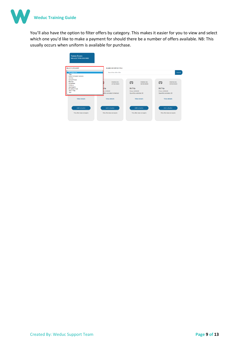

You'll also have the option to filter offers by category. This makes it easier for you to view and select which one you'd like to make a payment for should there be a number of offers available. NB: This usually occurs when uniform is available for purchase.

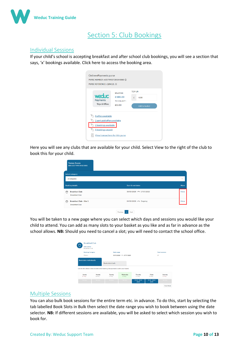

# Section 5: Club Bookings

## Individual Sessions

If your child's school is accepting breakfast and after school club bookings, you will see a section that says, 'x' bookings available. Click here to access the booking area.



Here you will see any clubs that are available for your child. Select View to the right of the club to book this for your child.

| <b>Tomos Evans</b><br>SRN 6337 9990 0450 0005                 |                                          |              |
|---------------------------------------------------------------|------------------------------------------|--------------|
| <b>Select category</b>                                        |                                          |              |
| All categories                                                |                                          | $\checkmark$ |
| <b>Booking details</b>                                        | <b>Start &amp; end dates</b>             | More         |
| <b>Breakfast Club</b><br><b>Breakfast Club</b>                | 30/03/2020 - 17/07/2020                  | View         |
| <b>Breakfast Club - Site 1</b><br>çò<br><b>Breakfast Club</b> | 04/03/2020 - Ongoing                     | View         |
|                                                               | Previous<br>Next<br>$\blacktriangleleft$ |              |

You will be taken to a new page where you can select which days and sessions you would like your child to attend. You can add as many slots to your basket as you like and as far in advance as the school allows. **NB:** Should you need to cancel a slot; you will need to contact the school office.

| ൈ                | Description<br><b>Breakfast Club</b> |                                                                                           |                         |                    |                  |                       |
|------------------|--------------------------------------|-------------------------------------------------------------------------------------------|-------------------------|--------------------|------------------|-----------------------|
|                  | <b>Booking Category</b>              | Date range                                                                                |                         |                    |                  | <b>Total sessions</b> |
| Dinners          |                                      |                                                                                           | 30/03/2020 - 17/07/2020 |                    | 37               |                       |
|                  |                                      | <b>Book slots in bulk</b>                                                                 |                         |                    |                  |                       |
|                  |                                      | Use the slot-selector below to select which booking slots you want to add to your basket. |                         |                    |                  |                       |
| Sunday<br>17 May | Monday<br>18 May                     | Tuesday<br>19 May                                                                         | Wednesday<br>20 May     | Thursday<br>21 May | Friday<br>22 May | Saturday<br>23 May    |

#### Multiple Sessions

You can also bulk book sessions for the entire term etc. in advance. To do this, start by selecting the tab labelled Book Slots in Bulk then select the date range you wish to book between using the date selector. **NB:** If different sessions are available, you will be asked to select which session you wish to book for.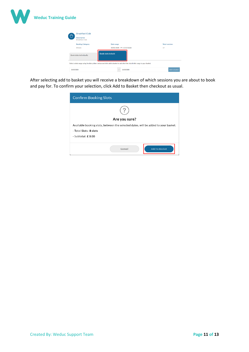

| ₾                                                                                                                              | <b>Breakfast Club</b><br><b>Description</b><br><b>Breakfast Club</b> |            |  |                         |    |                       |  |  |  |  |  |  |
|--------------------------------------------------------------------------------------------------------------------------------|----------------------------------------------------------------------|------------|--|-------------------------|----|-----------------------|--|--|--|--|--|--|
|                                                                                                                                | <b>Booking Category</b>                                              | Date range |  |                         |    | <b>Total sessions</b> |  |  |  |  |  |  |
|                                                                                                                                | <b>Dinners</b>                                                       |            |  | 30/03/2020 - 17/07/2020 | 37 |                       |  |  |  |  |  |  |
| <b>Book slots in bulk</b><br><b>Book slots individually</b>                                                                    |                                                                      |            |  |                         |    |                       |  |  |  |  |  |  |
| Select a date range using the date pickers below and click add to basket to add all of the slots in this range to your basket. |                                                                      |            |  |                         |    |                       |  |  |  |  |  |  |
| 20/05/2020                                                                                                                     |                                                                      |            |  | 20/05/2020              |    | <b>Add to basket</b>  |  |  |  |  |  |  |

After selecting add to basket you will receive a breakdown of which sessions you are about to book and pay for. To confirm your selection, click Add to Basket then checkout as usual.

| <b>Confirm Booking Slots</b>                                                       |  |  |  |  |  |  |  |
|------------------------------------------------------------------------------------|--|--|--|--|--|--|--|
|                                                                                    |  |  |  |  |  |  |  |
|                                                                                    |  |  |  |  |  |  |  |
| Are you sure?                                                                      |  |  |  |  |  |  |  |
| Available booking slots, between the selected dates, will be added to your basket. |  |  |  |  |  |  |  |
| - Total Slots: 8 slots                                                             |  |  |  |  |  |  |  |
| - Subtotal: $£0.00$                                                                |  |  |  |  |  |  |  |
|                                                                                    |  |  |  |  |  |  |  |
| <b>Add to Basket</b><br>Cancel                                                     |  |  |  |  |  |  |  |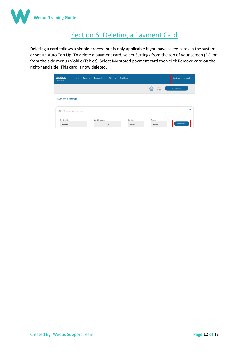

# Section 6: Deleting a Payment Card

Deleting a card follows a simple process but is only applicable if you have saved cards in the system or set up Auto Top Up. To delete a payment card, select Settings from the top of your screen (PC) or from the side menu (Mobile/Tablet). Select My stored payment card then click Remove card on the right-hand side. This card is now deleted.

| <b>weduc</b><br><b>Payments</b> | Home                   | Top up $\sim$ | <b>Transactions</b>                 | Offers $\sim$ | Bookings $\sim$  |                                      | Settings    | Log out      |  |  |  |
|---------------------------------|------------------------|---------------|-------------------------------------|---------------|------------------|--------------------------------------|-------------|--------------|--|--|--|
|                                 |                        |               |                                     |               |                  | Items<br>$\overline{1000}$<br>Total: | View basket |              |  |  |  |
| <b>Payment Settings</b>         |                        |               |                                     |               |                  |                                      |             |              |  |  |  |
| ħ                               | My stored payment card |               |                                     |               |                  |                                      |             | $\checkmark$ |  |  |  |
| Card Holder:<br>ABryant         |                        |               | Card Number:<br>**** **** **** 9996 |               | Expiry:<br>06/25 | Status:<br>Active                    | Remove card |              |  |  |  |